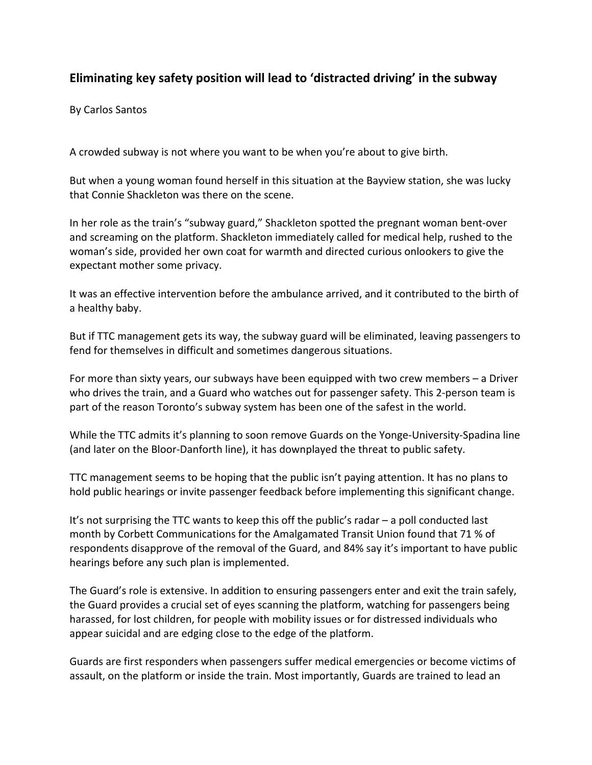## **Eliminating key safety position will lead to 'distracted driving' in the subway**

By Carlos Santos

A crowded subway is not where you want to be when you're about to give birth.

But when a young woman found herself in this situation at the Bayview station, she was lucky that Connie Shackleton was there on the scene.

In her role as the train's "subway guard," Shackleton spotted the pregnant woman bent-over and screaming on the platform. Shackleton immediately called for medical help, rushed to the woman's side, provided her own coat for warmth and directed curious onlookers to give the expectant mother some privacy.

It was an effective intervention before the ambulance arrived, and it contributed to the birth of a healthy baby.

But if TTC management gets its way, the subway guard will be eliminated, leaving passengers to fend for themselves in difficult and sometimes dangerous situations.

For more than sixty years, our subways have been equipped with two crew members – a Driver who drives the train, and a Guard who watches out for passenger safety. This 2-person team is part of the reason Toronto's subway system has been one of the safest in the world.

While the TTC admits it's planning to soon remove Guards on the Yonge-University-Spadina line (and later on the Bloor-Danforth line), it has downplayed the threat to public safety.

TTC management seems to be hoping that the public isn't paying attention. It has no plans to hold public hearings or invite passenger feedback before implementing this significant change.

It's not surprising the TTC wants to keep this off the public's radar – a poll conducted last month by Corbett Communications for the Amalgamated Transit Union found that 71 % of respondents disapprove of the removal of the Guard, and 84% say it's important to have public hearings before any such plan is implemented.

The Guard's role is extensive. In addition to ensuring passengers enter and exit the train safely, the Guard provides a crucial set of eyes scanning the platform, watching for passengers being harassed, for lost children, for people with mobility issues or for distressed individuals who appear suicidal and are edging close to the edge of the platform.

Guards are first responders when passengers suffer medical emergencies or become victims of assault, on the platform or inside the train. Most importantly, Guards are trained to lead an